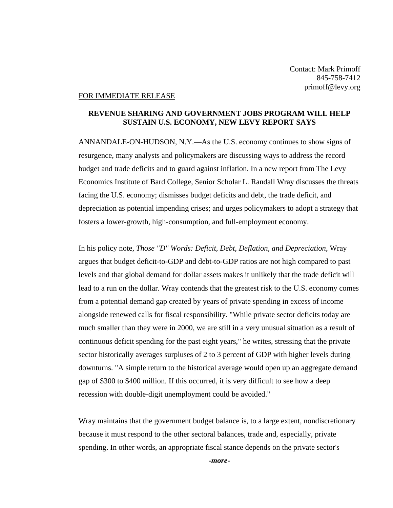## FOR IMMEDIATE RELEASE

## **REVENUE SHARING AND GOVERNMENT JOBS PROGRAM WILL HELP SUSTAIN U.S. ECONOMY, NEW LEVY REPORT SAYS**

ANNANDALE-ON-HUDSON, N.Y.—As the U.S. economy continues to show signs of resurgence, many analysts and policymakers are discussing ways to address the record budget and trade deficits and to guard against inflation. In a new report from The Levy Economics Institute of Bard College, Senior Scholar L. Randall Wray discusses the threats facing the U.S. economy; dismisses budget deficits and debt, the trade deficit, and depreciation as potential impending crises; and urges policymakers to adopt a strategy that fosters a lower-growth, high-consumption, and full-employment economy.

In his policy note, *Those "D" Words: Deficit, Debt, Deflation, and Depreciation*, Wray argues that budget deficit-to-GDP and debt-to-GDP ratios are not high compared to past levels and that global demand for dollar assets makes it unlikely that the trade deficit will lead to a run on the dollar. Wray contends that the greatest risk to the U.S. economy comes from a potential demand gap created by years of private spending in excess of income alongside renewed calls for fiscal responsibility. "While private sector deficits today are much smaller than they were in 2000, we are still in a very unusual situation as a result of continuous deficit spending for the past eight years," he writes, stressing that the private sector historically averages surpluses of 2 to 3 percent of GDP with higher levels during downturns. "A simple return to the historical average would open up an aggregate demand gap of \$300 to \$400 million. If this occurred, it is very difficult to see how a deep recession with double-digit unemployment could be avoided."

Wray maintains that the government budget balance is, to a large extent, nondiscretionary because it must respond to the other sectoral balances, trade and, especially, private spending. In other words, an appropriate fiscal stance depends on the private sector's

*-more-*